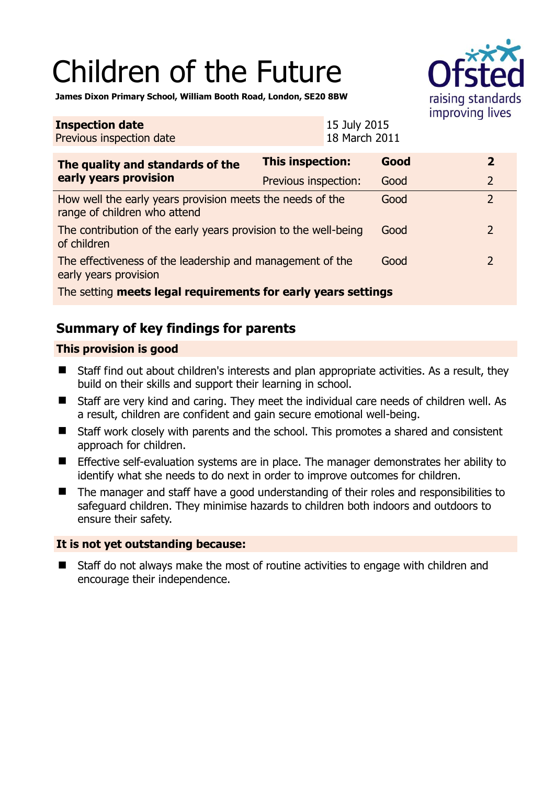# Children of the Future



**James Dixon Primary School, William Booth Road, London, SE20 8BW** 

| <b>Inspection date</b><br>Previous inspection date                                        |                         | 15 July 2015<br>18 March 2011 |      |  |                |
|-------------------------------------------------------------------------------------------|-------------------------|-------------------------------|------|--|----------------|
| The quality and standards of the<br>early years provision                                 | <b>This inspection:</b> |                               | Good |  | $\overline{2}$ |
|                                                                                           | Previous inspection:    |                               | Good |  | $\overline{2}$ |
| How well the early years provision meets the needs of the<br>range of children who attend |                         |                               | Good |  | $\overline{2}$ |
| The contribution of the early years provision to the well-being<br>of children            |                         |                               | Good |  | $\overline{2}$ |
| The effectiveness of the leadership and management of the<br>early years provision        |                         |                               | Good |  | 2              |
| The setting meets legal requirements for early years settings                             |                         |                               |      |  |                |

# **Summary of key findings for parents**

## **This provision is good**

- Staff find out about children's interests and plan appropriate activities. As a result, they build on their skills and support their learning in school.
- Staff are very kind and caring. They meet the individual care needs of children well. As a result, children are confident and gain secure emotional well-being.
- Staff work closely with parents and the school. This promotes a shared and consistent approach for children.
- **Effective self-evaluation systems are in place. The manager demonstrates her ability to** identify what she needs to do next in order to improve outcomes for children.
- The manager and staff have a good understanding of their roles and responsibilities to safeguard children. They minimise hazards to children both indoors and outdoors to ensure their safety.

## **It is not yet outstanding because:**

■ Staff do not always make the most of routine activities to engage with children and encourage their independence.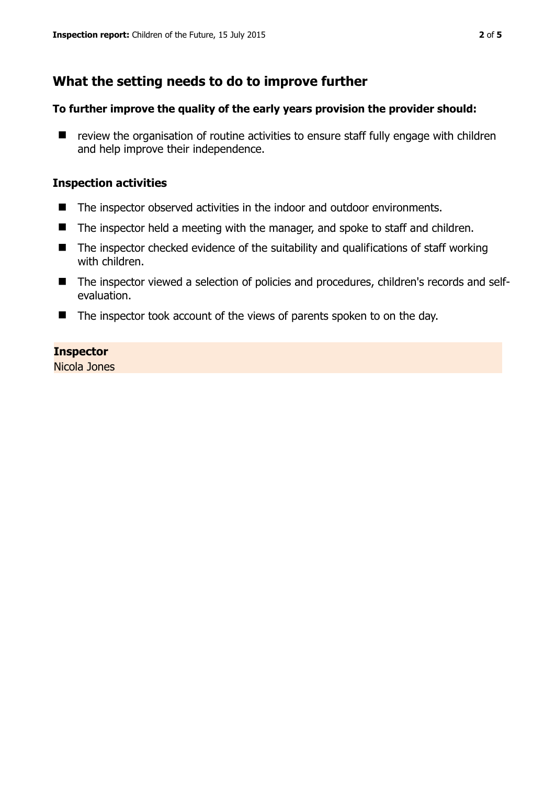# **What the setting needs to do to improve further**

#### **To further improve the quality of the early years provision the provider should:**

 $\blacksquare$  review the organisation of routine activities to ensure staff fully engage with children and help improve their independence.

#### **Inspection activities**

- The inspector observed activities in the indoor and outdoor environments.
- The inspector held a meeting with the manager, and spoke to staff and children.
- $\blacksquare$  The inspector checked evidence of the suitability and qualifications of staff working with children.
- The inspector viewed a selection of policies and procedures, children's records and selfevaluation.
- The inspector took account of the views of parents spoken to on the day.

### **Inspector**

Nicola Jones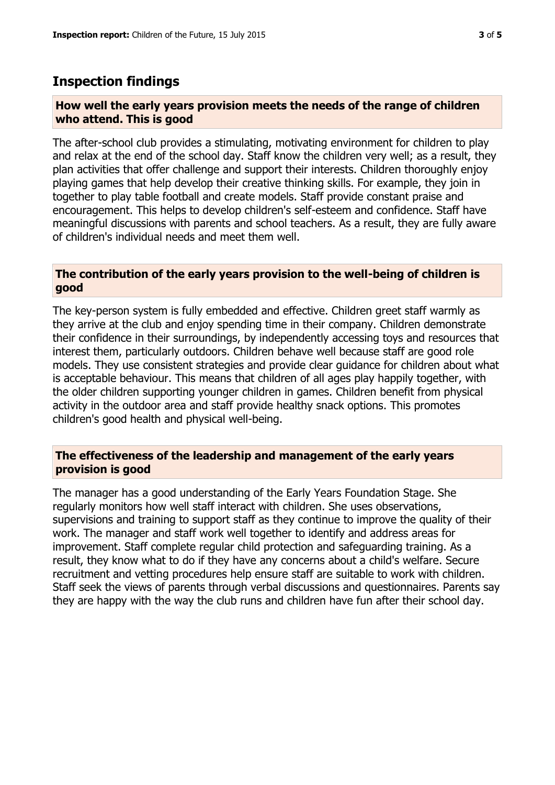## **Inspection findings**

#### **How well the early years provision meets the needs of the range of children who attend. This is good**

The after-school club provides a stimulating, motivating environment for children to play and relax at the end of the school day. Staff know the children very well; as a result, they plan activities that offer challenge and support their interests. Children thoroughly enjoy playing games that help develop their creative thinking skills. For example, they join in together to play table football and create models. Staff provide constant praise and encouragement. This helps to develop children's self-esteem and confidence. Staff have meaningful discussions with parents and school teachers. As a result, they are fully aware of children's individual needs and meet them well.

#### **The contribution of the early years provision to the well-being of children is good**

The key-person system is fully embedded and effective. Children greet staff warmly as they arrive at the club and enjoy spending time in their company. Children demonstrate their confidence in their surroundings, by independently accessing toys and resources that interest them, particularly outdoors. Children behave well because staff are good role models. They use consistent strategies and provide clear guidance for children about what is acceptable behaviour. This means that children of all ages play happily together, with the older children supporting younger children in games. Children benefit from physical activity in the outdoor area and staff provide healthy snack options. This promotes children's good health and physical well-being.

#### **The effectiveness of the leadership and management of the early years provision is good**

The manager has a good understanding of the Early Years Foundation Stage. She regularly monitors how well staff interact with children. She uses observations, supervisions and training to support staff as they continue to improve the quality of their work. The manager and staff work well together to identify and address areas for improvement. Staff complete regular child protection and safeguarding training. As a result, they know what to do if they have any concerns about a child's welfare. Secure recruitment and vetting procedures help ensure staff are suitable to work with children. Staff seek the views of parents through verbal discussions and questionnaires. Parents say they are happy with the way the club runs and children have fun after their school day.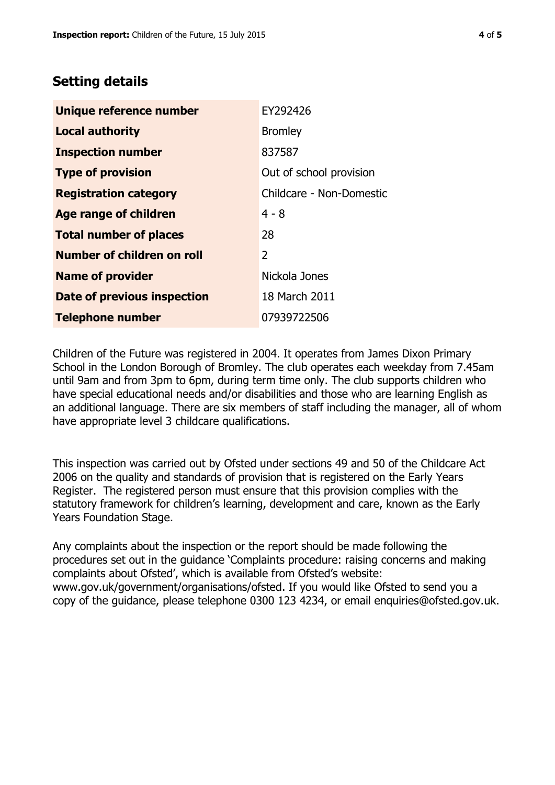# **Setting details**

| Unique reference number       | EY292426                 |  |  |
|-------------------------------|--------------------------|--|--|
| <b>Local authority</b>        | <b>Bromley</b>           |  |  |
| <b>Inspection number</b>      | 837587                   |  |  |
| <b>Type of provision</b>      | Out of school provision  |  |  |
| <b>Registration category</b>  | Childcare - Non-Domestic |  |  |
| <b>Age range of children</b>  | $4 - 8$                  |  |  |
| <b>Total number of places</b> | 28                       |  |  |
| Number of children on roll    | $\overline{2}$           |  |  |
| <b>Name of provider</b>       | Nickola Jones            |  |  |
| Date of previous inspection   | 18 March 2011            |  |  |
| <b>Telephone number</b>       | 07939722506              |  |  |

Children of the Future was registered in 2004. It operates from James Dixon Primary School in the London Borough of Bromley. The club operates each weekday from 7.45am until 9am and from 3pm to 6pm, during term time only. The club supports children who have special educational needs and/or disabilities and those who are learning English as an additional language. There are six members of staff including the manager, all of whom have appropriate level 3 childcare qualifications.

This inspection was carried out by Ofsted under sections 49 and 50 of the Childcare Act 2006 on the quality and standards of provision that is registered on the Early Years Register. The registered person must ensure that this provision complies with the statutory framework for children's learning, development and care, known as the Early Years Foundation Stage.

Any complaints about the inspection or the report should be made following the procedures set out in the guidance 'Complaints procedure: raising concerns and making complaints about Ofsted', which is available from Ofsted's website: www.gov.uk/government/organisations/ofsted. If you would like Ofsted to send you a copy of the guidance, please telephone 0300 123 4234, or email enquiries@ofsted.gov.uk.